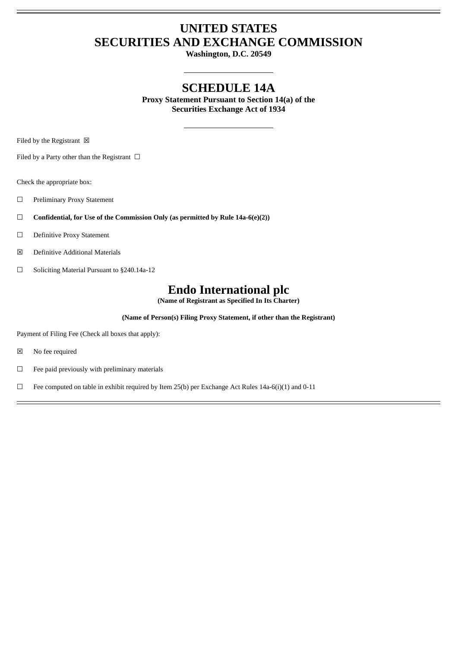# **UNITED STATES SECURITIES AND EXCHANGE COMMISSION**

**Washington, D.C. 20549**

### **SCHEDULE 14A**

**Proxy Statement Pursuant to Section 14(a) of the Securities Exchange Act of 1934**

Filed by the Registrant  $\boxtimes$ 

Filed by a Party other than the Registrant  $\Box$ 

Check the appropriate box:

- ☐ Preliminary Proxy Statement
- ☐ **Confidential, for Use of the Commission Only (as permitted by Rule 14a-6(e)(2))**
- ☐ Definitive Proxy Statement
- ☒ Definitive Additional Materials
- ☐ Soliciting Material Pursuant to §240.14a-12

## **Endo International plc**

**(Name of Registrant as Specified In Its Charter)**

**(Name of Person(s) Filing Proxy Statement, if other than the Registrant)**

Payment of Filing Fee (Check all boxes that apply):

- ☒ No fee required
- $□$  Fee paid previously with preliminary materials
- ☐ Fee computed on table in exhibit required by Item 25(b) per Exchange Act Rules 14a-6(i)(1) and 0-11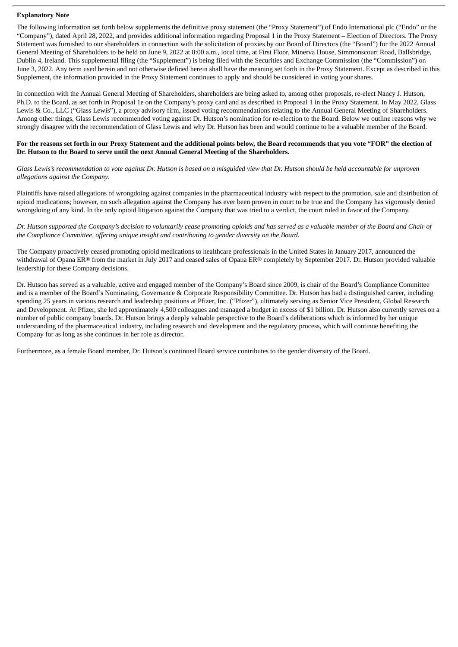### **Explanatory Note**

The following information set forth below supplements the definitive proxy statement (the "Proxy Statement") of Endo International plc ("Endo" or the "Company"), dated April 28, 2022, and provides additional information regarding Proposal 1 in the Proxy Statement – Election of Directors. The Proxy Statement was furnished to our shareholders in connection with the solicitation of proxies by our Board of Directors (the "Board") for the 2022 Annual General Meeting of Shareholders to be held on June 9, 2022 at 8:00 a.m., local time, at First Floor, Minerva House, Simmonscourt Road, Ballsbridge, Dublin 4, Ireland. This supplemental filing (the "Supplement") is being filed with the Securities and Exchange Commission (the "Commission") on June 3, 2022. Any term used herein and not otherwise defined herein shall have the meaning set forth in the Proxy Statement. Except as described in this Supplement, the information provided in the Proxy Statement continues to apply and should be considered in voting your shares.

In connection with the Annual General Meeting of Shareholders, shareholders are being asked to, among other proposals, re-elect Nancy J. Hutson, Ph.D. to the Board, as set forth in Proposal 1e on the Company's proxy card and as described in Proposal 1 in the Proxy Statement. In May 2022, Glass Lewis & Co., LLC ("Glass Lewis"), a proxy advisory firm, issued voting recommendations relating to the Annual General Meeting of Shareholders. Among other things, Glass Lewis recommended voting against Dr. Hutson's nomination for re-election to the Board. Below we outline reasons why we strongly disagree with the recommendation of Glass Lewis and why Dr. Hutson has been and would continue to be a valuable member of the Board.

### For the reasons set forth in our Proxy Statement and the additional points below, the Board recommends that you vote "FOR" the election of **Dr. Hutson to the Board to serve until the next Annual General Meeting of the Shareholders.**

Glass Lewis's recommendation to vote against Dr. Hutson is based on a misquided view that Dr. Hutson should be held accountable for unproven *allegations against the Company.*

Plaintiffs have raised allegations of wrongdoing against companies in the pharmaceutical industry with respect to the promotion, sale and distribution of opioid medications; however, no such allegation against the Company has ever been proven in court to be true and the Company has vigorously denied wrongdoing of any kind. In the only opioid litigation against the Company that was tried to a verdict, the court ruled in favor of the Company.

Dr. Hutson supported the Company's decision to voluntarily cease promotina opioids and has served as a valuable member of the Board and Chair of *the Compliance Committee, offering unique insight and contributing to gender diversity on the Board.*

The Company proactively ceased promoting opioid medications to healthcare professionals in the United States in January 2017, announced the withdrawal of Opana ER® from the market in July 2017 and ceased sales of Opana ER® completely by September 2017. Dr. Hutson provided valuable leadership for these Company decisions.

Dr. Hutson has served as a valuable, active and engaged member of the Company's Board since 2009, is chair of the Board's Compliance Committee and is a member of the Board's Nominating, Governance & Corporate Responsibility Committee. Dr. Hutson has had a distinguished career, including spending 25 years in various research and leadership positions at Pfizer, Inc. ("Pfizer"), ultimately serving as Senior Vice President, Global Research and Development. At Pfizer, she led approximately 4,500 colleagues and managed a budget in excess of \$1 billion. Dr. Hutson also currently serves on a number of public company boards. Dr. Hutson brings a deeply valuable perspective to the Board's deliberations which is informed by her unique understanding of the pharmaceutical industry, including research and development and the regulatory process, which will continue benefiting the Company for as long as she continues in her role as director.

Furthermore, as a female Board member, Dr. Hutson's continued Board service contributes to the gender diversity of the Board.